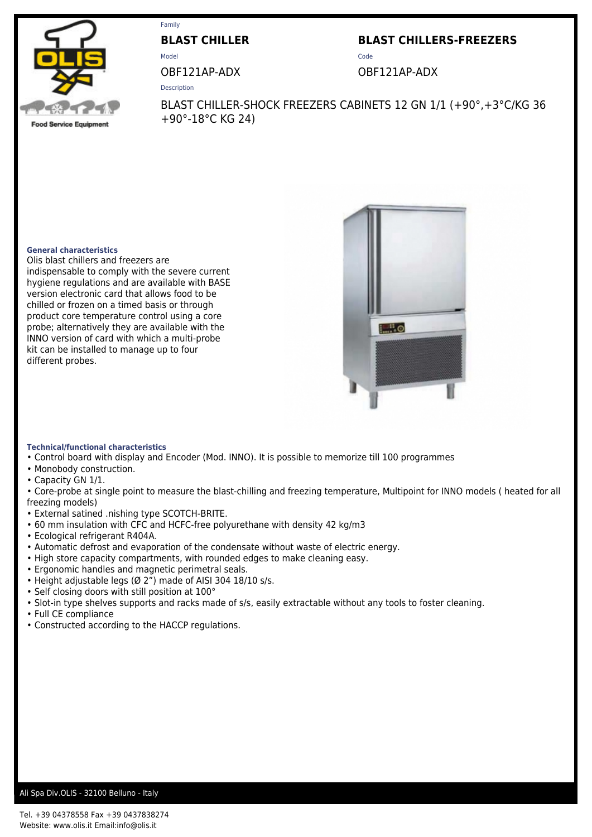

# Family

**BLAST CHILLER BLAST CHILLERS-FREEZERS**

Model **Code** 

Description

OBF121AP-ADX OBF121AP-ADX

**Food Service Equipment** 

BLAST CHILLER-SHOCK FREEZERS CABINETS 12 GN 1/1 (+90°,+3°C/KG 36 +90°-18°C KG 24)

## **General characteristics**

Olis blast chillers and freezers are indispensable to comply with the severe current hygiene regulations and are available with BASE version electronic card that allows food to be chilled or frozen on a timed basis or through product core temperature control using a core probe; alternatively they are available with the INNO version of card with which a multi-probe kit can be installed to manage up to four different probes.



### **Technical/functional characteristics**

- Control board with display and Encoder (Mod. INNO). It is possible to memorize till 100 programmes
- Monobody construction.
- Capacity GN 1/1.

• Core-probe at single point to measure the blast-chilling and freezing temperature, Multipoint for INNO models ( heated for all freezing models)

- External satined .nishing type SCOTCH-BRITE.
- 60 mm insulation with CFC and HCFC-free polyurethane with density 42 kg/m3
- Ecological refrigerant R404A.
- Automatic defrost and evaporation of the condensate without waste of electric energy.
- High store capacity compartments, with rounded edges to make cleaning easy.
- Ergonomic handles and magnetic perimetral seals.
- Height adjustable legs (Ø 2") made of AISI 304 18/10 s/s.
- Self closing doors with still position at 100°
- Slot-in type shelves supports and racks made of s/s, easily extractable without any tools to foster cleaning.
- Full CE compliance
- Constructed according to the HACCP regulations.